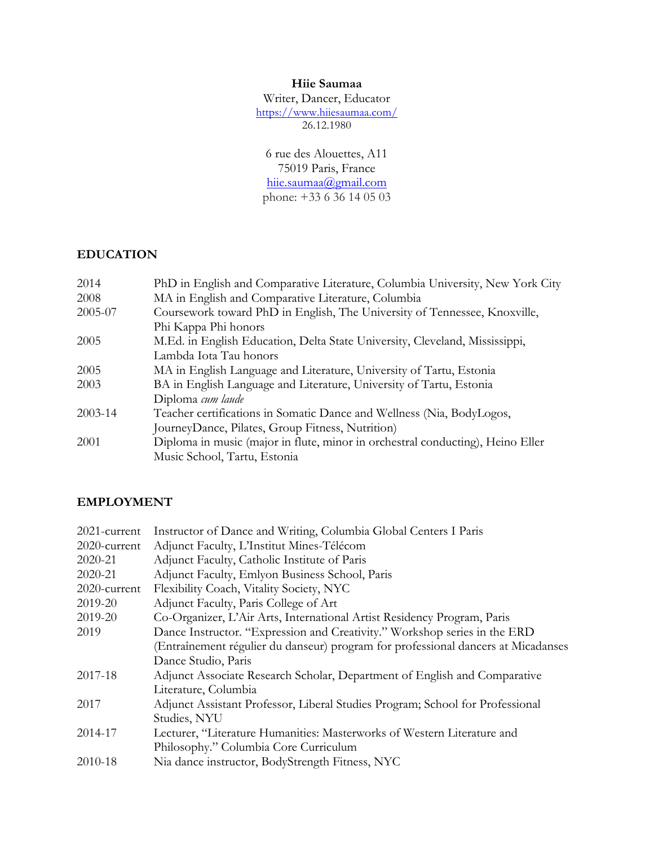#### **Hiie Saumaa**

Writer, Dancer, Educator https://www.hiiesaumaa.com/ 26.12.1980

6 rue des Alouettes, A11 75019 Paris, France hiie.saumaa@gmail.com phone: +33 6 36 14 05 03

# **EDUCATION**

| 2014                                                                                 | PhD in English and Comparative Literature, Columbia University, New York City  |
|--------------------------------------------------------------------------------------|--------------------------------------------------------------------------------|
| 2008                                                                                 | MA in English and Comparative Literature, Columbia                             |
| Coursework toward PhD in English, The University of Tennessee, Knoxville,<br>2005-07 |                                                                                |
|                                                                                      | Phi Kappa Phi honors                                                           |
| 2005                                                                                 | M.Ed. in English Education, Delta State University, Cleveland, Mississippi,    |
|                                                                                      | Lambda Iota Tau honors                                                         |
| 2005                                                                                 | MA in English Language and Literature, University of Tartu, Estonia            |
| 2003                                                                                 | BA in English Language and Literature, University of Tartu, Estonia            |
|                                                                                      | Diploma cum laude                                                              |
| $2003 - 14$                                                                          | Teacher certifications in Somatic Dance and Wellness (Nia, BodyLogos,          |
|                                                                                      | JourneyDance, Pilates, Group Fitness, Nutrition)                               |
| 2001                                                                                 | Diploma in music (major in flute, minor in orchestral conducting), Heino Eller |
|                                                                                      | Music School, Tartu, Estonia                                                   |

## **EMPLOYMENT**

| 2021-current | Instructor of Dance and Writing, Columbia Global Centers I Paris                  |  |
|--------------|-----------------------------------------------------------------------------------|--|
| 2020-current | Adjunct Faculty, L'Institut Mines-Télécom                                         |  |
| 2020-21      | Adjunct Faculty, Catholic Institute of Paris                                      |  |
| 2020-21      | Adjunct Faculty, Emlyon Business School, Paris                                    |  |
| 2020-current | Flexibility Coach, Vitality Society, NYC                                          |  |
| 2019-20      | Adjunct Faculty, Paris College of Art                                             |  |
| 2019-20      | Co-Organizer, L'Air Arts, International Artist Residency Program, Paris           |  |
| 2019         | Dance Instructor. "Expression and Creativity." Workshop series in the ERD         |  |
|              | (Entraînement régulier du danseur) program for professional dancers at Micadanses |  |
|              | Dance Studio, Paris                                                               |  |
| 2017-18      | Adjunct Associate Research Scholar, Department of English and Comparative         |  |
|              | Literature, Columbia                                                              |  |
| 2017         | Adjunct Assistant Professor, Liberal Studies Program; School for Professional     |  |
|              | Studies, NYU                                                                      |  |
| 2014-17      | Lecturer, "Literature Humanities: Masterworks of Western Literature and           |  |
|              | Philosophy." Columbia Core Curriculum                                             |  |
| 2010-18      | Nia dance instructor, BodyStrength Fitness, NYC                                   |  |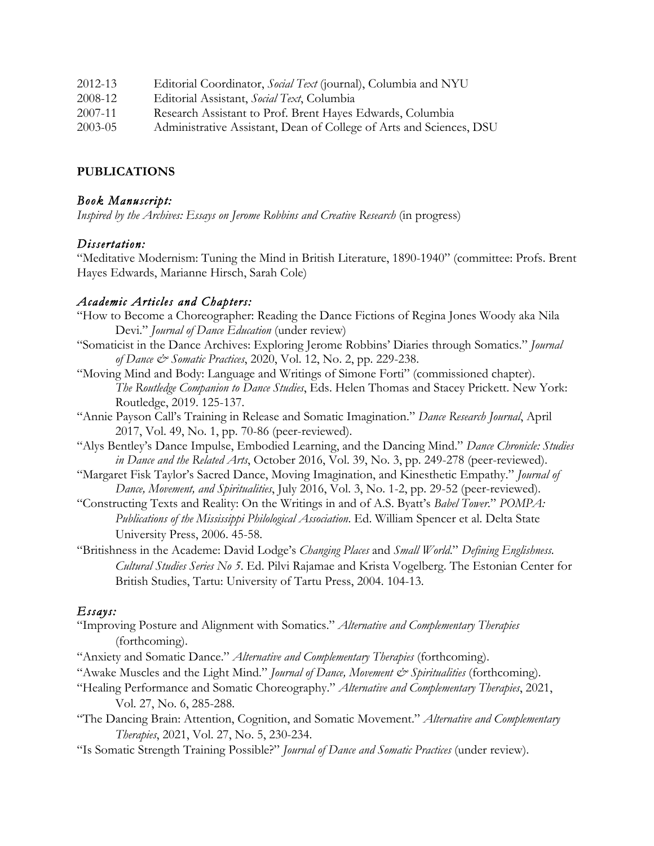| 2012-13 | Editorial Coordinator, Social Text (journal), Columbia and NYU      |
|---------|---------------------------------------------------------------------|
| 2008-12 | Editorial Assistant, Social Text, Columbia                          |
| 2007-11 | Research Assistant to Prof. Brent Hayes Edwards, Columbia           |
| 2003-05 | Administrative Assistant, Dean of College of Arts and Sciences, DSU |
|         |                                                                     |

#### **PUBLICATIONS**

#### *Book Manuscript:*

*Inspired by the Archives: Essays on Jerome Robbins and Creative Research* (in progress)

#### *Dissertation:*

"Meditative Modernism: Tuning the Mind in British Literature, 1890-1940" (committee: Profs. Brent Hayes Edwards, Marianne Hirsch, Sarah Cole)

#### *Academic Articles and Chapters:*

- "How to Become a Choreographer: Reading the Dance Fictions of Regina Jones Woody aka Nila Devi." *Journal of Dance Education* (under review)
- "Somaticist in the Dance Archives: Exploring Jerome Robbins' Diaries through Somatics." *Journal of Dance & Somatic Practices*, 2020, Vol. 12, No. 2, pp. 229-238.
- "Moving Mind and Body: Language and Writings of Simone Forti" (commissioned chapter). *The Routledge Companion to Dance Studies*, Eds. Helen Thomas and Stacey Prickett. New York: Routledge, 2019. 125-137.
- "Annie Payson Call's Training in Release and Somatic Imagination." *Dance Research Journal*, April 2017, Vol. 49, No. 1, pp. 70-86 (peer-reviewed).
- "Alys Bentley's Dance Impulse, Embodied Learning, and the Dancing Mind." *Dance Chronicle: Studies in Dance and the Related Arts*, October 2016, Vol. 39, No. 3, pp. 249-278 (peer-reviewed).
- "Margaret Fisk Taylor's Sacred Dance, Moving Imagination, and Kinesthetic Empathy." *Journal of Dance, Movement, and Spiritualities*, July 2016, Vol. 3, No. 1-2, pp. 29-52 (peer-reviewed).
- "Constructing Texts and Reality: On the Writings in and of A.S. Byatt's *Babel Tower*." *POMPA: Publications of the Mississippi Philological Association*. Ed. William Spencer et al. Delta State University Press, 2006. 45-58.
- "Britishness in the Academe: David Lodge's *Changing Places* and *Small World*." *Defining Englishness. Cultural Studies Series No 5*. Ed. Pilvi Rajamae and Krista Vogelberg. The Estonian Center for British Studies, Tartu: University of Tartu Press, 2004. 104-13.

## *Essays:*

- "Improving Posture and Alignment with Somatics." *Alternative and Complementary Therapies* (forthcoming).
- "Anxiety and Somatic Dance." *Alternative and Complementary Therapies* (forthcoming).
- "Awake Muscles and the Light Mind." *Journal of Dance, Movement & Spiritualities* (forthcoming).
- "Healing Performance and Somatic Choreography." *Alternative and Complementary Therapies*, 2021, Vol. 27, No. 6, 285-288.
- "The Dancing Brain: Attention, Cognition, and Somatic Movement." *Alternative and Complementary Therapies*, 2021, Vol. 27, No. 5, 230-234.
- "Is Somatic Strength Training Possible?" *Journal of Dance and Somatic Practices* (under review).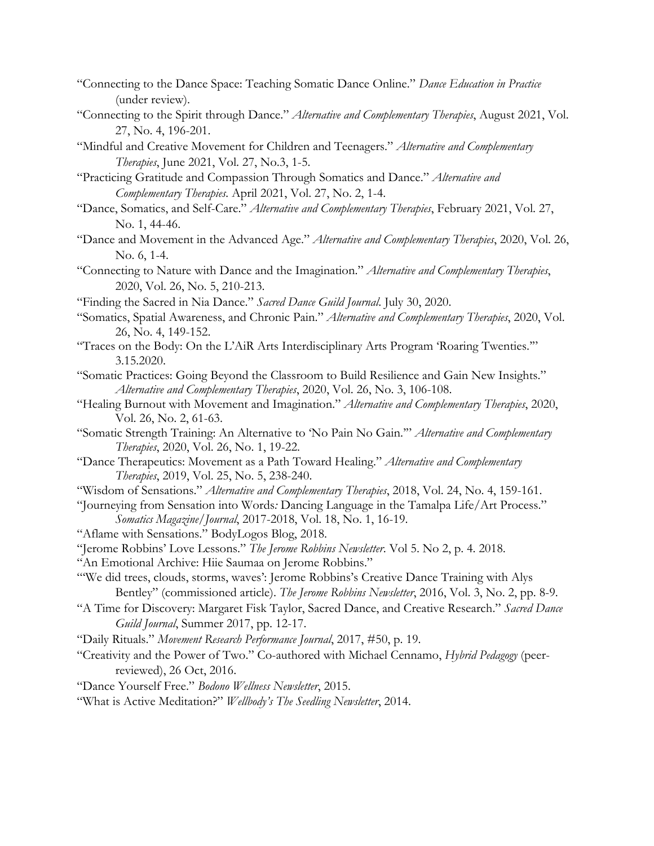- "Connecting to the Dance Space: Teaching Somatic Dance Online." *Dance Education in Practice* (under review).
- "Connecting to the Spirit through Dance." *Alternative and Complementary Therapies*, August 2021, Vol. 27, No. 4, 196-201.
- "Mindful and Creative Movement for Children and Teenagers." *Alternative and Complementary Therapies*, June 2021, Vol. 27, No.3, 1-5.
- "Practicing Gratitude and Compassion Through Somatics and Dance." *Alternative and Complementary Therapies.* April 2021, Vol. 27, No. 2, 1-4.
- "Dance, Somatics, and Self-Care." *Alternative and Complementary Therapies*, February 2021, Vol. 27, No. 1, 44-46.
- "Dance and Movement in the Advanced Age." *Alternative and Complementary Therapies*, 2020, Vol. 26, No. 6, 1-4.
- "Connecting to Nature with Dance and the Imagination." *Alternative and Complementary Therapies*, 2020, Vol. 26, No. 5, 210-213.
- "Finding the Sacred in Nia Dance." *Sacred Dance Guild Journal*. July 30, 2020.
- "Somatics, Spatial Awareness, and Chronic Pain." *Alternative and Complementary Therapies*, 2020, Vol. 26, No. 4, 149-152.
- "Traces on the Body: On the L'AiR Arts Interdisciplinary Arts Program 'Roaring Twenties.'" 3.15.2020.
- "Somatic Practices: Going Beyond the Classroom to Build Resilience and Gain New Insights." *Alternative and Complementary Therapies*, 2020, Vol. 26, No. 3, 106-108.
- "Healing Burnout with Movement and Imagination." *Alternative and Complementary Therapies*, 2020, Vol. 26, No. 2, 61-63.
- "Somatic Strength Training: An Alternative to 'No Pain No Gain.'" *Alternative and Complementary Therapies*, 2020, Vol. 26, No. 1, 19-22.
- "Dance Therapeutics: Movement as a Path Toward Healing." *Alternative and Complementary Therapies*, 2019, Vol. 25, No. 5, 238-240.
- "Wisdom of Sensations." *Alternative and Complementary Therapies*, 2018, Vol. 24, No. 4, 159-161.
- "Journeying from Sensation into Words*:* Dancing Language in the Tamalpa Life/Art Process." *Somatics Magazine/Journal*, 2017-2018, Vol. 18, No. 1, 16-19.
- "Aflame with Sensations." BodyLogos Blog, 2018.
- "Jerome Robbins' Love Lessons." *The Jerome Robbins Newsletter*. Vol 5. No 2, p. 4. 2018.
- "An Emotional Archive: Hiie Saumaa on Jerome Robbins."
- "We did trees, clouds, storms, waves': Jerome Robbins's Creative Dance Training with Alys Bentley" (commissioned article). *The Jerome Robbins Newsletter*, 2016, Vol. 3, No. 2, pp. 8-9.
- "A Time for Discovery: Margaret Fisk Taylor, Sacred Dance, and Creative Research." *Sacred Dance Guild Journal*, Summer 2017, pp. 12-17.
- "Daily Rituals." *Movement Research Performance Journal*, 2017, #50, p. 19.
- "Creativity and the Power of Two." Co-authored with Michael Cennamo, *Hybrid Pedagogy* (peerreviewed), 26 Oct, 2016.
- "Dance Yourself Free." *Bodono Wellness Newsletter*, 2015.
- "What is Active Meditation?" *Wellbody's The Seedling Newsletter*, 2014.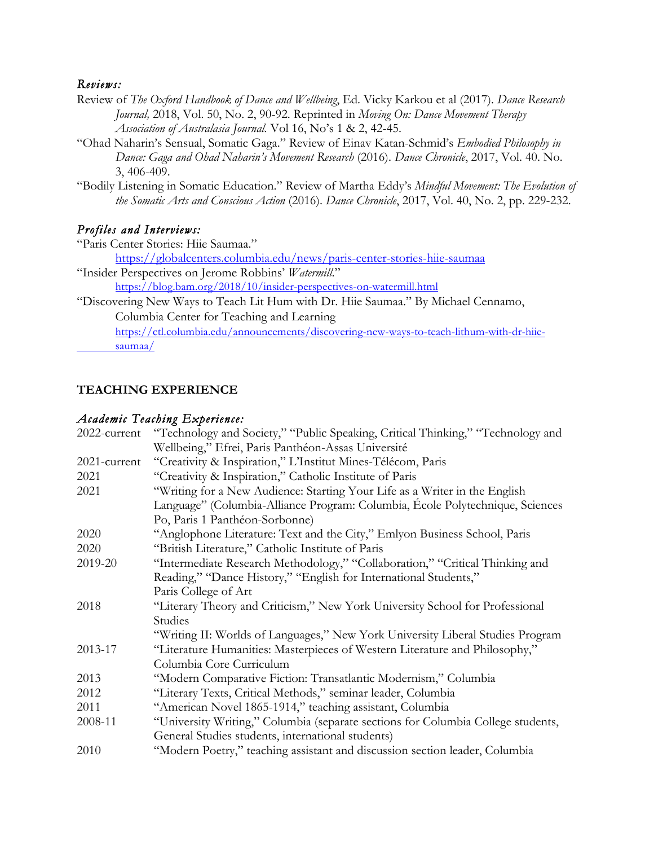#### *Reviews:*

- Review of *The Oxford Handbook of Dance and Wellbeing*, Ed. Vicky Karkou et al (2017). *Dance Research Journal,* 2018, Vol. 50, No. 2, 90-92. Reprinted in *Moving On: Dance Movement Therapy Association of Australasia Journal.* Vol 16, No's 1 & 2, 42-45.
- "Ohad Naharin's Sensual, Somatic Gaga." Review of Einav Katan-Schmid's *Embodied Philosophy in Dance: Gaga and Ohad Naharin's Movement Research* (2016). *Dance Chronicle*, 2017, Vol. 40. No. 3, 406-409.
- "Bodily Listening in Somatic Education." Review of Martha Eddy's *Mindful Movement: The Evolution of the Somatic Arts and Conscious Action* (2016). *Dance Chronicle*, 2017, Vol. 40, No. 2, pp. 229-232.

#### *Profiles and Interviews:*

"Paris Center Stories: Hiie Saumaa." https://globalcenters.columbia.edu/news/paris-center-stories-hiie-saumaa

"Insider Perspectives on Jerome Robbins' *Watermill*."

https://blog.bam.org/2018/10/insider-perspectives-on-watermill.html

"Discovering New Ways to Teach Lit Hum with Dr. Hiie Saumaa." By Michael Cennamo, Columbia Center for Teaching and Learning

https://ctl.columbia.edu/announcements/discovering-new-ways-to-teach-lithum-with-dr-hiiesaumaa/

#### **TEACHING EXPERIENCE**

#### *Academic Teaching Experience:*

| 2022-current | "Technology and Society," "Public Speaking, Critical Thinking," "Technology and  |  |
|--------------|----------------------------------------------------------------------------------|--|
|              | Wellbeing," Efrei, Paris Panthéon-Assas Université                               |  |
| 2021-current | "Creativity & Inspiration," L'Institut Mines-Télécom, Paris                      |  |
| 2021         | "Creativity & Inspiration," Catholic Institute of Paris                          |  |
| 2021         | "Writing for a New Audience: Starting Your Life as a Writer in the English       |  |
|              | Language" (Columbia-Alliance Program: Columbia, École Polytechnique, Sciences    |  |
|              | Po, Paris 1 Panthéon-Sorbonne)                                                   |  |
| 2020         | "Anglophone Literature: Text and the City," Emlyon Business School, Paris        |  |
| 2020         | "British Literature," Catholic Institute of Paris                                |  |
| 2019-20      | "Intermediate Research Methodology," "Collaboration," "Critical Thinking and     |  |
|              | Reading," "Dance History," "English for International Students,"                 |  |
|              | Paris College of Art                                                             |  |
| 2018         | "Literary Theory and Criticism," New York University School for Professional     |  |
|              | Studies                                                                          |  |
|              | "Writing II: Worlds of Languages," New York University Liberal Studies Program   |  |
| 2013-17      | "Literature Humanities: Masterpieces of Western Literature and Philosophy,"      |  |
|              | Columbia Core Curriculum                                                         |  |
| 2013         | "Modern Comparative Fiction: Transatlantic Modernism," Columbia                  |  |
| 2012         | "Literary Texts, Critical Methods," seminar leader, Columbia                     |  |
| 2011         | "American Novel 1865-1914," teaching assistant, Columbia                         |  |
| 2008-11      | "University Writing," Columbia (separate sections for Columbia College students, |  |
|              | General Studies students, international students)                                |  |
| 2010         | "Modern Poetry," teaching assistant and discussion section leader, Columbia      |  |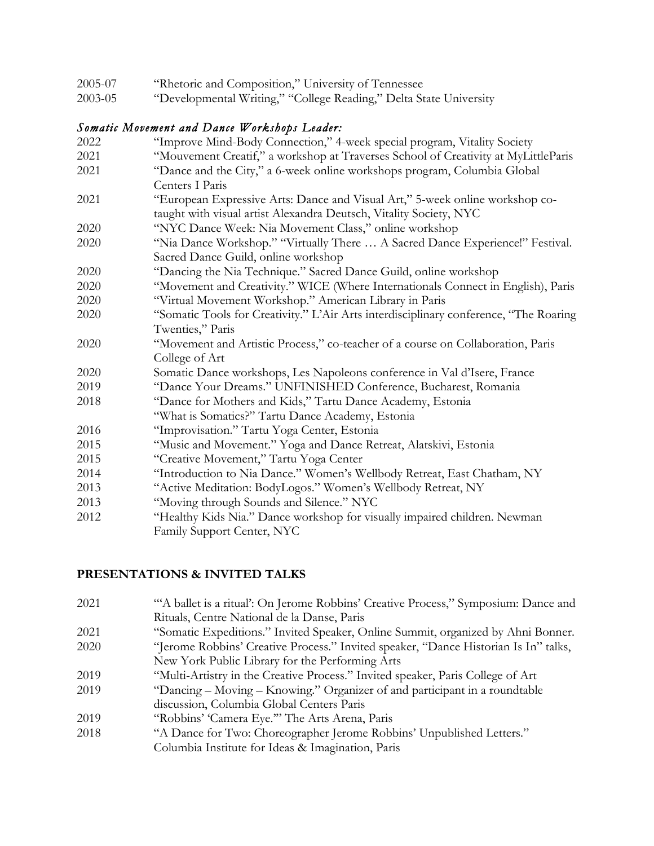| 2005-07<br>"Rhetoric and Composition," University of Tennessee |  |
|----------------------------------------------------------------|--|
|----------------------------------------------------------------|--|

2003-05 "Developmental Writing," "College Reading," Delta State University

### *Somatic Movement and Dance Workshops Leader:*

2022 "Improve Mind-Body Connection," 4-week special program, Vitality Society 2021 "Mouvement Creatif," a workshop at Traverses School of Creativity at MyLittleParis 2021 "Dance and the City," a 6-week online workshops program, Columbia Global Centers I Paris 2021 "European Expressive Arts: Dance and Visual Art," 5-week online workshop cotaught with visual artist Alexandra Deutsch, Vitality Society, NYC 2020 "NYC Dance Week: Nia Movement Class," online workshop 2020 "Nia Dance Workshop." "Virtually There … A Sacred Dance Experience!" Festival. Sacred Dance Guild, online workshop 2020 "Dancing the Nia Technique." Sacred Dance Guild, online workshop 2020 "Movement and Creativity." WICE (Where Internationals Connect in English), Paris 2020 "Virtual Movement Workshop." American Library in Paris 2020 "Somatic Tools for Creativity." L'Air Arts interdisciplinary conference, "The Roaring Twenties," Paris 2020 "Movement and Artistic Process," co-teacher of a course on Collaboration, Paris College of Art 2020 Somatic Dance workshops, Les Napoleons conference in Val d'Isere, France 2019 "Dance Your Dreams." UNFINISHED Conference, Bucharest, Romania 2018 "Dance for Mothers and Kids," Tartu Dance Academy, Estonia "What is Somatics?" Tartu Dance Academy, Estonia 2016 "Improvisation." Tartu Yoga Center, Estonia 2015 "Music and Movement." Yoga and Dance Retreat, Alatskivi, Estonia 2015 "Creative Movement," Tartu Yoga Center 2014 "Introduction to Nia Dance." Women's Wellbody Retreat, East Chatham, NY 2013 "Active Meditation: BodyLogos." Women's Wellbody Retreat, NY 2013 "Moving through Sounds and Silence." NYC 2012 "Healthy Kids Nia." Dance workshop for visually impaired children. Newman Family Support Center, NYC

## **PRESENTATIONS & INVITED TALKS**

- 2021 "'A ballet is a ritual': On Jerome Robbins' Creative Process," Symposium: Dance and Rituals, Centre National de la Danse, Paris
- 2021 "Somatic Expeditions." Invited Speaker, Online Summit, organized by Ahni Bonner.
- 2020 "Jerome Robbins' Creative Process." Invited speaker, "Dance Historian Is In" talks, New York Public Library for the Performing Arts
- 2019 "Multi-Artistry in the Creative Process." Invited speaker, Paris College of Art
- 2019 "Dancing Moving Knowing." Organizer of and participant in a roundtable discussion, Columbia Global Centers Paris
- 2019 "Robbins' 'Camera Eye.'" The Arts Arena, Paris
- 2018 "A Dance for Two: Choreographer Jerome Robbins' Unpublished Letters."
	- Columbia Institute for Ideas & Imagination, Paris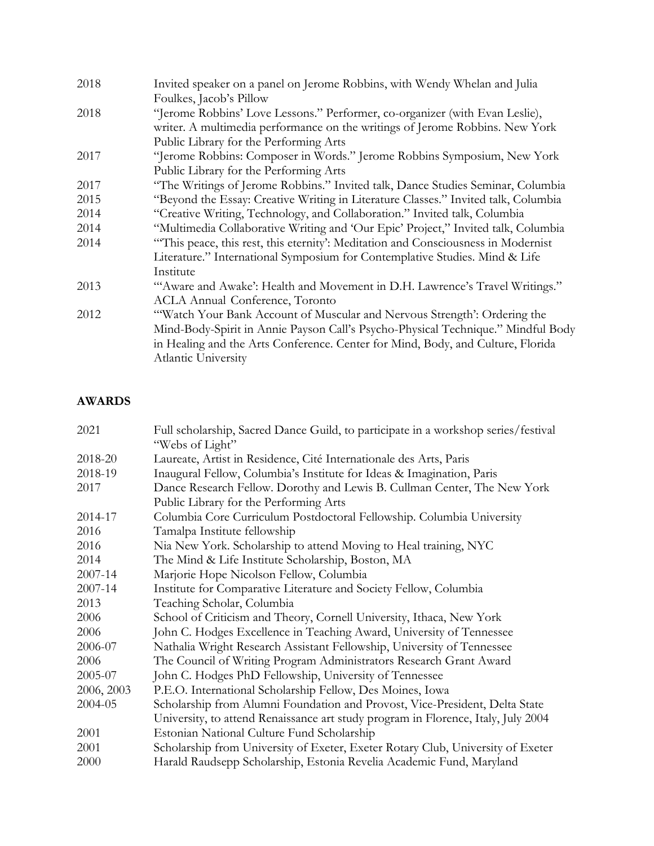| Invited speaker on a panel on Jerome Robbins, with Wendy Whelan and Julia<br>2018 |                                                                                    |
|-----------------------------------------------------------------------------------|------------------------------------------------------------------------------------|
|                                                                                   | Foulkes, Jacob's Pillow                                                            |
| 2018                                                                              | "Jerome Robbins' Love Lessons." Performer, co-organizer (with Evan Leslie),        |
|                                                                                   | writer. A multimedia performance on the writings of Jerome Robbins. New York       |
|                                                                                   | Public Library for the Performing Arts                                             |
| 2017                                                                              | "Jerome Robbins: Composer in Words." Jerome Robbins Symposium, New York            |
|                                                                                   | Public Library for the Performing Arts                                             |
| 2017                                                                              | "The Writings of Jerome Robbins." Invited talk, Dance Studies Seminar, Columbia    |
| 2015                                                                              | "Beyond the Essay: Creative Writing in Literature Classes." Invited talk, Columbia |
| 2014                                                                              | "Creative Writing, Technology, and Collaboration." Invited talk, Columbia          |
| 2014                                                                              | "Multimedia Collaborative Writing and 'Our Epic' Project," Invited talk, Columbia  |
| 2014                                                                              | "This peace, this rest, this eternity': Meditation and Consciousness in Modernist  |
|                                                                                   | Literature." International Symposium for Contemplative Studies. Mind & Life        |
|                                                                                   | Institute                                                                          |
| 2013                                                                              | "'Aware and Awake': Health and Movement in D.H. Lawrence's Travel Writings."       |
|                                                                                   | <b>ACLA Annual Conference, Toronto</b>                                             |
| 2012                                                                              | "Watch Your Bank Account of Muscular and Nervous Strength': Ordering the           |
|                                                                                   | Mind-Body-Spirit in Annie Payson Call's Psycho-Physical Technique." Mindful Body   |
|                                                                                   | in Healing and the Arts Conference. Center for Mind, Body, and Culture, Florida    |
|                                                                                   | Atlantic University                                                                |
|                                                                                   |                                                                                    |

# **AWARDS**

| 2021       | Full scholarship, Sacred Dance Guild, to participate in a workshop series/festival<br>"Webs of Light" |  |
|------------|-------------------------------------------------------------------------------------------------------|--|
| 2018-20    | Laureate, Artist in Residence, Cité Internationale des Arts, Paris                                    |  |
| 2018-19    | Inaugural Fellow, Columbia's Institute for Ideas & Imagination, Paris                                 |  |
| 2017       | Dance Research Fellow. Dorothy and Lewis B. Cullman Center, The New York                              |  |
|            | Public Library for the Performing Arts                                                                |  |
| 2014-17    | Columbia Core Curriculum Postdoctoral Fellowship. Columbia University                                 |  |
| 2016       | Tamalpa Institute fellowship                                                                          |  |
| 2016       | Nia New York. Scholarship to attend Moving to Heal training, NYC                                      |  |
| 2014       | The Mind & Life Institute Scholarship, Boston, MA                                                     |  |
| 2007-14    | Marjorie Hope Nicolson Fellow, Columbia                                                               |  |
| 2007-14    | Institute for Comparative Literature and Society Fellow, Columbia                                     |  |
| 2013       | Teaching Scholar, Columbia                                                                            |  |
| 2006       | School of Criticism and Theory, Cornell University, Ithaca, New York                                  |  |
| 2006       | John C. Hodges Excellence in Teaching Award, University of Tennessee                                  |  |
| 2006-07    | Nathalia Wright Research Assistant Fellowship, University of Tennessee                                |  |
| 2006       | The Council of Writing Program Administrators Research Grant Award                                    |  |
| 2005-07    | John C. Hodges PhD Fellowship, University of Tennessee                                                |  |
| 2006, 2003 | P.E.O. International Scholarship Fellow, Des Moines, Iowa                                             |  |
| 2004-05    | Scholarship from Alumni Foundation and Provost, Vice-President, Delta State                           |  |
|            | University, to attend Renaissance art study program in Florence, Italy, July 2004                     |  |
| 2001       | Estonian National Culture Fund Scholarship                                                            |  |
| 2001       | Scholarship from University of Exeter, Exeter Rotary Club, University of Exeter                       |  |
| 2000       | Harald Raudsepp Scholarship, Estonia Revelia Academic Fund, Maryland                                  |  |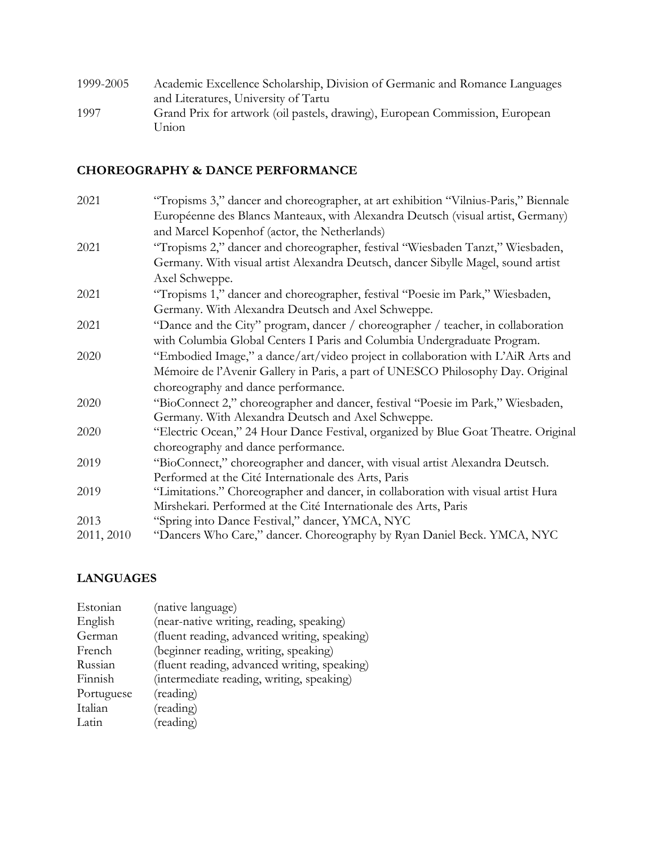| 1999-2005 | Academic Excellence Scholarship, Division of Germanic and Romance Languages           |
|-----------|---------------------------------------------------------------------------------------|
|           | and Literatures, University of Tartu                                                  |
| 1997      | Grand Prix for artwork (oil pastels, drawing), European Commission, European<br>Union |

# **CHOREOGRAPHY & DANCE PERFORMANCE**

| 2021       | "Tropisms 3," dancer and choreographer, at art exhibition "Vilnius-Paris," Biennale |
|------------|-------------------------------------------------------------------------------------|
|            | Européenne des Blancs Manteaux, with Alexandra Deutsch (visual artist, Germany)     |
|            | and Marcel Kopenhof (actor, the Netherlands)                                        |
| 2021       | "Tropisms 2," dancer and choreographer, festival "Wiesbaden Tanzt," Wiesbaden,      |
|            | Germany. With visual artist Alexandra Deutsch, dancer Sibylle Magel, sound artist   |
|            | Axel Schweppe.                                                                      |
| 2021       | "Tropisms 1," dancer and choreographer, festival "Poesie im Park," Wiesbaden,       |
|            | Germany. With Alexandra Deutsch and Axel Schweppe.                                  |
| 2021       | "Dance and the City" program, dancer / choreographer / teacher, in collaboration    |
|            | with Columbia Global Centers I Paris and Columbia Undergraduate Program.            |
| 2020       | "Embodied Image," a dance/art/video project in collaboration with L'AiR Arts and    |
|            | Mémoire de l'Avenir Gallery in Paris, a part of UNESCO Philosophy Day. Original     |
|            | choreography and dance performance.                                                 |
| 2020       | "BioConnect 2," choreographer and dancer, festival "Poesie im Park," Wiesbaden,     |
|            | Germany. With Alexandra Deutsch and Axel Schweppe.                                  |
| 2020       | "Electric Ocean," 24 Hour Dance Festival, organized by Blue Goat Theatre. Original  |
|            | choreography and dance performance.                                                 |
| 2019       | "BioConnect," choreographer and dancer, with visual artist Alexandra Deutsch.       |
|            | Performed at the Cité Internationale des Arts, Paris                                |
| 2019       | "Limitations." Choreographer and dancer, in collaboration with visual artist Hura   |
|            | Mirshekari. Performed at the Cité Internationale des Arts, Paris                    |
| 2013       | "Spring into Dance Festival," dancer, YMCA, NYC                                     |
| 2011, 2010 | "Dancers Who Care," dancer. Choreography by Ryan Daniel Beck. YMCA, NYC             |

# **LANGUAGES**

| Estonian   | (native language)                            |
|------------|----------------------------------------------|
| English    | (near-native writing, reading, speaking)     |
| German     | (fluent reading, advanced writing, speaking) |
| French     | (beginner reading, writing, speaking)        |
| Russian    | (fluent reading, advanced writing, speaking) |
| Finnish    | (intermediate reading, writing, speaking)    |
| Portuguese | (reading)                                    |
| Italian    | (reading)                                    |
| Latin      | (reading)                                    |